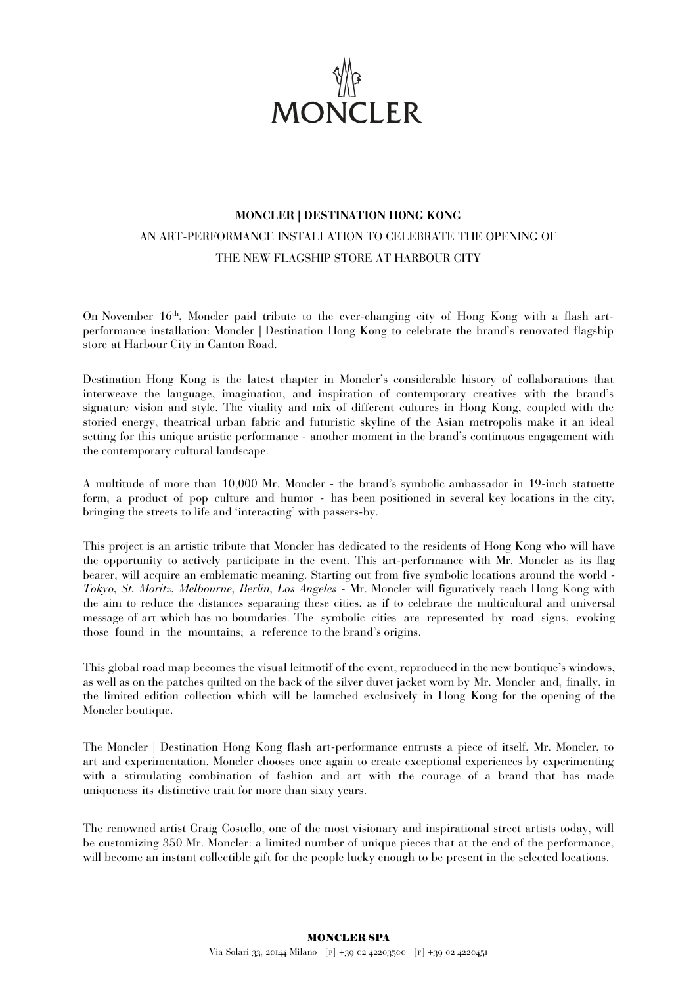

## **MONCLER | DESTINATION HONG KONG** AN ART-PERFORMANCE INSTALLATION TO CELEBRATE THE OPENING OF THE NEW FLAGSHIP STORE AT HARBOUR CITY

On November  $16<sup>th</sup>$ , Moncler paid tribute to the ever-changing city of Hong Kong with a flash artperformance installation: Moncler | Destination Hong Kong to celebrate the brand's renovated flagship store at Harbour City in Canton Road.

Destination Hong Kong is the latest chapter in Moncler's considerable history of collaborations that interweave the language, imagination, and inspiration of contemporary creatives with the brand's signature vision and style. The vitality and mix of different cultures in Hong Kong, coupled with the storied energy, theatrical urban fabric and futuristic skyline of the Asian metropolis make it an ideal setting for this unique artistic performance - another moment in the brand's continuous engagement with the contemporary cultural landscape.

A multitude of more than 10,000 Mr. Moncler - the brand's symbolic ambassador in 19-inch statuette form, a product of pop culture and humor - has been positioned in several key locations in the city, bringing the streets to life and 'interacting' with passers-by.

This project is an artistic tribute that Moncler has dedicated to the residents of Hong Kong who will have the opportunity to actively participate in the event. This art-performance with Mr. Moncler as its flag bearer, will acquire an emblematic meaning. Starting out from five symbolic locations around the world - *Tokyo, St. Moritz, Melbourne, Berlin, Los Angeles* - Mr. Moncler will figuratively reach Hong Kong with the aim to reduce the distances separating these cities, as if to celebrate the multicultural and universal message of art which has no boundaries. The symbolic cities are represented by road signs, evoking those found in the mountains; a reference to the brand's origins.

This global road map becomes the visual leitmotif of the event, reproduced in the new boutique's windows, as well as on the patches quilted on the back of the silver duvet jacket worn by Mr. Moncler and, finally, in the limited edition collection which will be launched exclusively in Hong Kong for the opening of the Moncler boutique.

The Moncler | Destination Hong Kong flash art-performance entrusts a piece of itself, Mr. Moncler, to art and experimentation. Moncler chooses once again to create exceptional experiences by experimenting with a stimulating combination of fashion and art with the courage of a brand that has made uniqueness its distinctive trait for more than sixty years.

The renowned artist Craig Costello, one of the most visionary and inspirational street artists today, will be customizing 350 Mr. Moncler: a limited number of unique pieces that at the end of the performance, will become an instant collectible gift for the people lucky enough to be present in the selected locations.